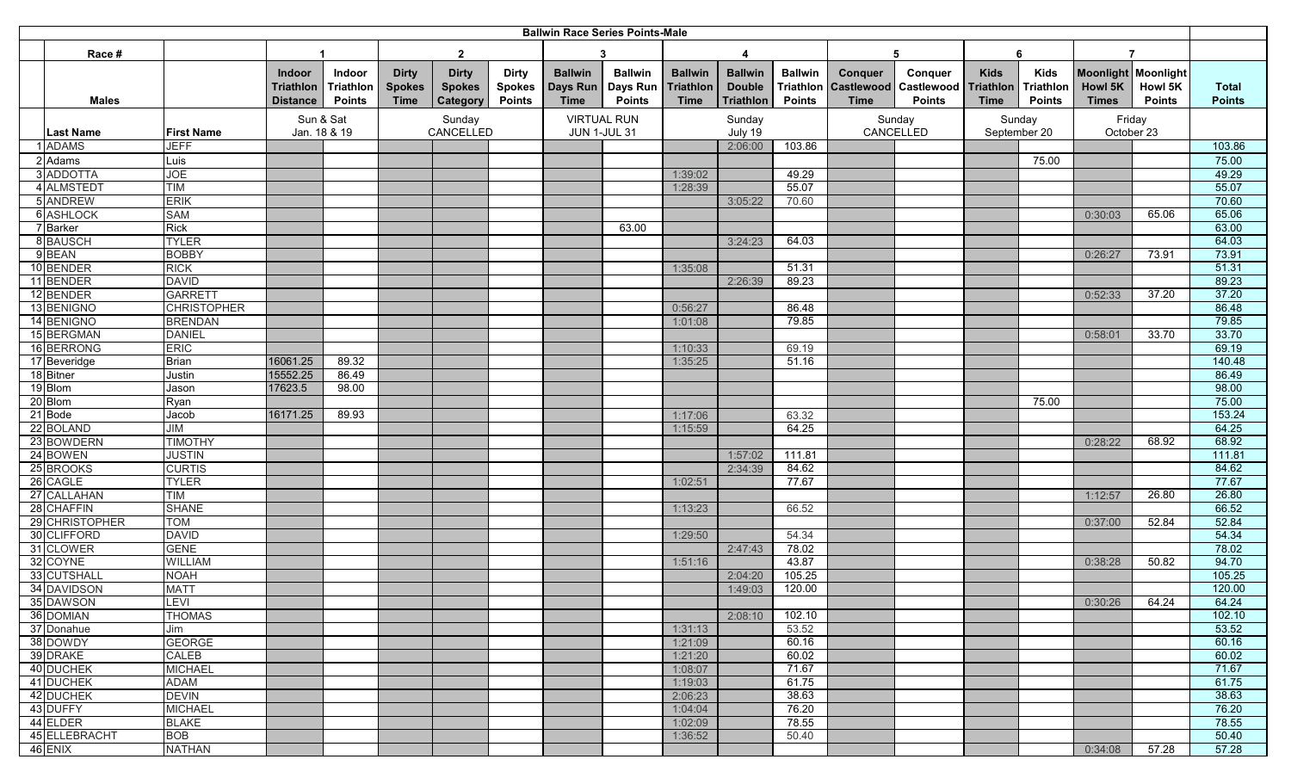| Race #<br>$\overline{2}$<br>3<br>6<br>4<br>5<br>Moonlight Moonlight<br><b>Ballwin</b><br><b>Ballwin</b><br><b>Ballwin</b><br><b>Ballwin</b><br><b>Ballwin</b><br><b>Kids</b><br>Indoor<br>Indoor<br><b>Dirty</b><br><b>Dirty</b><br><b>Dirty</b><br>Conquer<br>Conquer<br><b>Kids</b><br>Days Run<br>Days Run<br>Triathlon<br><b>Double</b><br><b>Triathlon</b><br>Triathlon<br>Triathlon<br>Howl 5K<br><b>Howl 5K</b><br><b>Triathlon</b><br>Triathlon<br><b>Spokes</b><br><b>Spokes</b><br><b>Spokes</b><br><b>Castlewood Castlewood</b><br><b>Total</b><br><b>Points</b><br><b>Triathlon</b><br><b>Points</b><br>Category<br><b>Time</b><br><b>Points</b><br><b>Time</b><br><b>Points</b><br><b>Time</b><br><b>Points</b><br><b>Time</b><br><b>Points</b><br><b>Times</b><br><b>Points</b><br><b>Points</b><br><b>Distance</b><br>Time<br>Males<br>Sun & Sat<br>Sunday<br><b>VIRTUAL RUN</b><br>Sunday<br>Friday<br>Sunday<br>Sunday<br>CANCELLED<br>CANCELLED<br>Jan. 18 & 19<br>July 19<br>September 20<br>October 23<br><b>Last Name</b><br><b>First Name</b><br><b>JUN 1-JUL 31</b><br>103.86<br>103.86<br><b>ADAMS</b><br><b>JEFF</b><br>2:06:00<br>2 Adams<br>75.00<br>Luis<br>75.00<br>3 ADDOTTA<br>49.29<br>49.29<br><b>JOE</b><br>1:39:02<br>55.07<br>4 ALMSTEDT<br>55.07<br><b>TIM</b><br>1:28:39<br><b>ERIK</b><br>70.60<br>5 ANDREW<br>3:05:22<br>70.60<br>6 ASHLOCK<br><b>SAM</b><br>65.06<br>65.06<br>0:30:03<br>7 Barker<br><b>Rick</b><br>63.00<br>63.00<br>64.03<br>8 BAUSCH<br><b>TYLER</b><br>64.03<br>3:24:23<br>73.91<br>9 <b>BEAN</b><br><b>BOBBY</b><br>73.91<br>0:26:27<br>51.31<br>10 BENDER<br><b>RICK</b><br>51.31<br>1:35:08<br>89.23<br>11 BENDER<br><b>DAVID</b><br>2:26:39<br>89.23<br>37.20<br>12 BENDER<br><b>GARRETT</b><br>0:52:33<br>37.20<br>86.48<br>13 BENIGNO<br>86.48<br><b>CHRISTOPHER</b><br>0:56:27<br>79.85<br>14 BENIGNO<br>79.85<br><b>BRENDAN</b><br>1:01:08<br>33.70<br>15 BERGMAN<br><b>DANIEL</b><br>0:58:01<br>33.70<br>69.19<br>16 BERRONG<br><b>ERIC</b><br>1:10:33<br>69.19<br>140.48<br><b>Brian</b><br>16061.25<br>89.32<br>1:35:25<br>17 Beveridge<br>51.16<br>18 Bitner<br>15552.25<br>86.49<br>Justin<br>86.49<br>98.00<br>19 Blom<br>17623.5<br>98.00<br>Jason<br>75.00<br>20 Blom<br>75.00<br>Ryan<br>21 Bode<br>89.93<br>153.24<br>16171.25<br>Jacob<br>1:17:06<br>63.32<br>22 BOLAND<br><b>JIM</b><br>64.25<br>64.25<br>1:15:59<br>68.92<br>23 BOWDERN<br>68.92<br><b>TIMOTHY</b><br>0:28:22<br>24 BOWEN<br><b>JUSTIN</b><br>111.81<br>1:57:02<br>111.81<br>25 BROOKS<br><b>CURTIS</b><br>84.62<br>84.62<br>2:34:39<br>77.67<br><b>TYLER</b><br>26 CAGLE<br>1:02:51<br>77.67<br>27 CALLAHAN<br><b>TIM</b><br>26.80<br>26.80<br>1:12:57<br>66.52<br>28 CHAFFIN<br><b>SHANE</b><br>66.52<br>1:13:23<br>29 CHRISTOPHER<br>52.84<br>52.84<br><b>TOM</b><br>0:37:00<br>30 CLIFFORD<br>54.34<br>54.34<br><b>DAVID</b><br>1:29:50<br>31 CLOWER<br><b>GENE</b><br>78.02<br>2:47:43<br>78.02<br>43.87<br>50.82<br>94.70<br>32 COYNE<br><b>WILLIAM</b><br>1:51:16<br>0:38:28<br>105.25<br>33 CUTSHALL<br><b>NOAH</b><br>105.25<br>2:04:20<br>120.00<br>34 DAVIDSON<br>120.00<br><b>MATT</b><br>1:49:03<br>35 DAWSON<br>LEVI<br>0:30:26<br>64.24<br>64.24<br><b>THOMAS</b><br>36 DOMIAN<br>2:08:10<br>102.10<br>102.10<br>53.52<br>53.52<br>37 Donahue<br>1:31:13<br>Jim<br>60.16<br>38 DOWDY<br><b>GEORGE</b><br>60.16<br>1:21:09<br>60.02<br>60.02<br>39 DRAKE<br>CALEB<br>1:21:20<br>71.67<br>40 DUCHEK<br><b>MICHAEL</b><br>1:08:07<br>71.67<br>41 DUCHEK<br><b>ADAM</b><br>1:19:03<br>61.75<br>61.75<br>42 DUCHEK<br>38.63<br><b>DEVIN</b><br>2:06:23<br>38.63<br>43 DUFFY<br><b>MICHAEL</b><br>1:04:04<br>76.20<br>76.20<br><b>BLAKE</b><br>78.55<br>44 ELDER<br>1:02:09<br>78.55<br>45 ELLEBRACHT<br><b>BOB</b><br>50.40<br>1:36:52<br>50.40<br>57.28<br><b>NATHAN</b><br>57.28<br>46 ENIX<br>0:34:08 | <b>Ballwin Race Series Points-Male</b> |  |  |  |  |  |  |  |  |  |  |  |  |  |  |  |  |  |  |
|----------------------------------------------------------------------------------------------------------------------------------------------------------------------------------------------------------------------------------------------------------------------------------------------------------------------------------------------------------------------------------------------------------------------------------------------------------------------------------------------------------------------------------------------------------------------------------------------------------------------------------------------------------------------------------------------------------------------------------------------------------------------------------------------------------------------------------------------------------------------------------------------------------------------------------------------------------------------------------------------------------------------------------------------------------------------------------------------------------------------------------------------------------------------------------------------------------------------------------------------------------------------------------------------------------------------------------------------------------------------------------------------------------------------------------------------------------------------------------------------------------------------------------------------------------------------------------------------------------------------------------------------------------------------------------------------------------------------------------------------------------------------------------------------------------------------------------------------------------------------------------------------------------------------------------------------------------------------------------------------------------------------------------------------------------------------------------------------------------------------------------------------------------------------------------------------------------------------------------------------------------------------------------------------------------------------------------------------------------------------------------------------------------------------------------------------------------------------------------------------------------------------------------------------------------------------------------------------------------------------------------------------------------------------------------------------------------------------------------------------------------------------------------------------------------------------------------------------------------------------------------------------------------------------------------------------------------------------------------------------------------------------------------------------------------------------------------------------------------------------------------------------------------------------------------------------------------------------------------------------------------------------------------------------------------------------------------------------------------------------------------------------------------------------------------------------------------------------------------------------------------------------------------------------------------------------------------------------------------------------------------------------------------------------------------------------------------------------------------------------------------------------------------------------------------------------------------------------------------------------|----------------------------------------|--|--|--|--|--|--|--|--|--|--|--|--|--|--|--|--|--|--|
|                                                                                                                                                                                                                                                                                                                                                                                                                                                                                                                                                                                                                                                                                                                                                                                                                                                                                                                                                                                                                                                                                                                                                                                                                                                                                                                                                                                                                                                                                                                                                                                                                                                                                                                                                                                                                                                                                                                                                                                                                                                                                                                                                                                                                                                                                                                                                                                                                                                                                                                                                                                                                                                                                                                                                                                                                                                                                                                                                                                                                                                                                                                                                                                                                                                                                                                                                                                                                                                                                                                                                                                                                                                                                                                                                                                                                                                                      |                                        |  |  |  |  |  |  |  |  |  |  |  |  |  |  |  |  |  |  |
|                                                                                                                                                                                                                                                                                                                                                                                                                                                                                                                                                                                                                                                                                                                                                                                                                                                                                                                                                                                                                                                                                                                                                                                                                                                                                                                                                                                                                                                                                                                                                                                                                                                                                                                                                                                                                                                                                                                                                                                                                                                                                                                                                                                                                                                                                                                                                                                                                                                                                                                                                                                                                                                                                                                                                                                                                                                                                                                                                                                                                                                                                                                                                                                                                                                                                                                                                                                                                                                                                                                                                                                                                                                                                                                                                                                                                                                                      |                                        |  |  |  |  |  |  |  |  |  |  |  |  |  |  |  |  |  |  |
|                                                                                                                                                                                                                                                                                                                                                                                                                                                                                                                                                                                                                                                                                                                                                                                                                                                                                                                                                                                                                                                                                                                                                                                                                                                                                                                                                                                                                                                                                                                                                                                                                                                                                                                                                                                                                                                                                                                                                                                                                                                                                                                                                                                                                                                                                                                                                                                                                                                                                                                                                                                                                                                                                                                                                                                                                                                                                                                                                                                                                                                                                                                                                                                                                                                                                                                                                                                                                                                                                                                                                                                                                                                                                                                                                                                                                                                                      |                                        |  |  |  |  |  |  |  |  |  |  |  |  |  |  |  |  |  |  |
|                                                                                                                                                                                                                                                                                                                                                                                                                                                                                                                                                                                                                                                                                                                                                                                                                                                                                                                                                                                                                                                                                                                                                                                                                                                                                                                                                                                                                                                                                                                                                                                                                                                                                                                                                                                                                                                                                                                                                                                                                                                                                                                                                                                                                                                                                                                                                                                                                                                                                                                                                                                                                                                                                                                                                                                                                                                                                                                                                                                                                                                                                                                                                                                                                                                                                                                                                                                                                                                                                                                                                                                                                                                                                                                                                                                                                                                                      |                                        |  |  |  |  |  |  |  |  |  |  |  |  |  |  |  |  |  |  |
|                                                                                                                                                                                                                                                                                                                                                                                                                                                                                                                                                                                                                                                                                                                                                                                                                                                                                                                                                                                                                                                                                                                                                                                                                                                                                                                                                                                                                                                                                                                                                                                                                                                                                                                                                                                                                                                                                                                                                                                                                                                                                                                                                                                                                                                                                                                                                                                                                                                                                                                                                                                                                                                                                                                                                                                                                                                                                                                                                                                                                                                                                                                                                                                                                                                                                                                                                                                                                                                                                                                                                                                                                                                                                                                                                                                                                                                                      |                                        |  |  |  |  |  |  |  |  |  |  |  |  |  |  |  |  |  |  |
|                                                                                                                                                                                                                                                                                                                                                                                                                                                                                                                                                                                                                                                                                                                                                                                                                                                                                                                                                                                                                                                                                                                                                                                                                                                                                                                                                                                                                                                                                                                                                                                                                                                                                                                                                                                                                                                                                                                                                                                                                                                                                                                                                                                                                                                                                                                                                                                                                                                                                                                                                                                                                                                                                                                                                                                                                                                                                                                                                                                                                                                                                                                                                                                                                                                                                                                                                                                                                                                                                                                                                                                                                                                                                                                                                                                                                                                                      |                                        |  |  |  |  |  |  |  |  |  |  |  |  |  |  |  |  |  |  |
|                                                                                                                                                                                                                                                                                                                                                                                                                                                                                                                                                                                                                                                                                                                                                                                                                                                                                                                                                                                                                                                                                                                                                                                                                                                                                                                                                                                                                                                                                                                                                                                                                                                                                                                                                                                                                                                                                                                                                                                                                                                                                                                                                                                                                                                                                                                                                                                                                                                                                                                                                                                                                                                                                                                                                                                                                                                                                                                                                                                                                                                                                                                                                                                                                                                                                                                                                                                                                                                                                                                                                                                                                                                                                                                                                                                                                                                                      |                                        |  |  |  |  |  |  |  |  |  |  |  |  |  |  |  |  |  |  |
|                                                                                                                                                                                                                                                                                                                                                                                                                                                                                                                                                                                                                                                                                                                                                                                                                                                                                                                                                                                                                                                                                                                                                                                                                                                                                                                                                                                                                                                                                                                                                                                                                                                                                                                                                                                                                                                                                                                                                                                                                                                                                                                                                                                                                                                                                                                                                                                                                                                                                                                                                                                                                                                                                                                                                                                                                                                                                                                                                                                                                                                                                                                                                                                                                                                                                                                                                                                                                                                                                                                                                                                                                                                                                                                                                                                                                                                                      |                                        |  |  |  |  |  |  |  |  |  |  |  |  |  |  |  |  |  |  |
|                                                                                                                                                                                                                                                                                                                                                                                                                                                                                                                                                                                                                                                                                                                                                                                                                                                                                                                                                                                                                                                                                                                                                                                                                                                                                                                                                                                                                                                                                                                                                                                                                                                                                                                                                                                                                                                                                                                                                                                                                                                                                                                                                                                                                                                                                                                                                                                                                                                                                                                                                                                                                                                                                                                                                                                                                                                                                                                                                                                                                                                                                                                                                                                                                                                                                                                                                                                                                                                                                                                                                                                                                                                                                                                                                                                                                                                                      |                                        |  |  |  |  |  |  |  |  |  |  |  |  |  |  |  |  |  |  |
|                                                                                                                                                                                                                                                                                                                                                                                                                                                                                                                                                                                                                                                                                                                                                                                                                                                                                                                                                                                                                                                                                                                                                                                                                                                                                                                                                                                                                                                                                                                                                                                                                                                                                                                                                                                                                                                                                                                                                                                                                                                                                                                                                                                                                                                                                                                                                                                                                                                                                                                                                                                                                                                                                                                                                                                                                                                                                                                                                                                                                                                                                                                                                                                                                                                                                                                                                                                                                                                                                                                                                                                                                                                                                                                                                                                                                                                                      |                                        |  |  |  |  |  |  |  |  |  |  |  |  |  |  |  |  |  |  |
|                                                                                                                                                                                                                                                                                                                                                                                                                                                                                                                                                                                                                                                                                                                                                                                                                                                                                                                                                                                                                                                                                                                                                                                                                                                                                                                                                                                                                                                                                                                                                                                                                                                                                                                                                                                                                                                                                                                                                                                                                                                                                                                                                                                                                                                                                                                                                                                                                                                                                                                                                                                                                                                                                                                                                                                                                                                                                                                                                                                                                                                                                                                                                                                                                                                                                                                                                                                                                                                                                                                                                                                                                                                                                                                                                                                                                                                                      |                                        |  |  |  |  |  |  |  |  |  |  |  |  |  |  |  |  |  |  |
|                                                                                                                                                                                                                                                                                                                                                                                                                                                                                                                                                                                                                                                                                                                                                                                                                                                                                                                                                                                                                                                                                                                                                                                                                                                                                                                                                                                                                                                                                                                                                                                                                                                                                                                                                                                                                                                                                                                                                                                                                                                                                                                                                                                                                                                                                                                                                                                                                                                                                                                                                                                                                                                                                                                                                                                                                                                                                                                                                                                                                                                                                                                                                                                                                                                                                                                                                                                                                                                                                                                                                                                                                                                                                                                                                                                                                                                                      |                                        |  |  |  |  |  |  |  |  |  |  |  |  |  |  |  |  |  |  |
|                                                                                                                                                                                                                                                                                                                                                                                                                                                                                                                                                                                                                                                                                                                                                                                                                                                                                                                                                                                                                                                                                                                                                                                                                                                                                                                                                                                                                                                                                                                                                                                                                                                                                                                                                                                                                                                                                                                                                                                                                                                                                                                                                                                                                                                                                                                                                                                                                                                                                                                                                                                                                                                                                                                                                                                                                                                                                                                                                                                                                                                                                                                                                                                                                                                                                                                                                                                                                                                                                                                                                                                                                                                                                                                                                                                                                                                                      |                                        |  |  |  |  |  |  |  |  |  |  |  |  |  |  |  |  |  |  |
|                                                                                                                                                                                                                                                                                                                                                                                                                                                                                                                                                                                                                                                                                                                                                                                                                                                                                                                                                                                                                                                                                                                                                                                                                                                                                                                                                                                                                                                                                                                                                                                                                                                                                                                                                                                                                                                                                                                                                                                                                                                                                                                                                                                                                                                                                                                                                                                                                                                                                                                                                                                                                                                                                                                                                                                                                                                                                                                                                                                                                                                                                                                                                                                                                                                                                                                                                                                                                                                                                                                                                                                                                                                                                                                                                                                                                                                                      |                                        |  |  |  |  |  |  |  |  |  |  |  |  |  |  |  |  |  |  |
|                                                                                                                                                                                                                                                                                                                                                                                                                                                                                                                                                                                                                                                                                                                                                                                                                                                                                                                                                                                                                                                                                                                                                                                                                                                                                                                                                                                                                                                                                                                                                                                                                                                                                                                                                                                                                                                                                                                                                                                                                                                                                                                                                                                                                                                                                                                                                                                                                                                                                                                                                                                                                                                                                                                                                                                                                                                                                                                                                                                                                                                                                                                                                                                                                                                                                                                                                                                                                                                                                                                                                                                                                                                                                                                                                                                                                                                                      |                                        |  |  |  |  |  |  |  |  |  |  |  |  |  |  |  |  |  |  |
|                                                                                                                                                                                                                                                                                                                                                                                                                                                                                                                                                                                                                                                                                                                                                                                                                                                                                                                                                                                                                                                                                                                                                                                                                                                                                                                                                                                                                                                                                                                                                                                                                                                                                                                                                                                                                                                                                                                                                                                                                                                                                                                                                                                                                                                                                                                                                                                                                                                                                                                                                                                                                                                                                                                                                                                                                                                                                                                                                                                                                                                                                                                                                                                                                                                                                                                                                                                                                                                                                                                                                                                                                                                                                                                                                                                                                                                                      |                                        |  |  |  |  |  |  |  |  |  |  |  |  |  |  |  |  |  |  |
|                                                                                                                                                                                                                                                                                                                                                                                                                                                                                                                                                                                                                                                                                                                                                                                                                                                                                                                                                                                                                                                                                                                                                                                                                                                                                                                                                                                                                                                                                                                                                                                                                                                                                                                                                                                                                                                                                                                                                                                                                                                                                                                                                                                                                                                                                                                                                                                                                                                                                                                                                                                                                                                                                                                                                                                                                                                                                                                                                                                                                                                                                                                                                                                                                                                                                                                                                                                                                                                                                                                                                                                                                                                                                                                                                                                                                                                                      |                                        |  |  |  |  |  |  |  |  |  |  |  |  |  |  |  |  |  |  |
|                                                                                                                                                                                                                                                                                                                                                                                                                                                                                                                                                                                                                                                                                                                                                                                                                                                                                                                                                                                                                                                                                                                                                                                                                                                                                                                                                                                                                                                                                                                                                                                                                                                                                                                                                                                                                                                                                                                                                                                                                                                                                                                                                                                                                                                                                                                                                                                                                                                                                                                                                                                                                                                                                                                                                                                                                                                                                                                                                                                                                                                                                                                                                                                                                                                                                                                                                                                                                                                                                                                                                                                                                                                                                                                                                                                                                                                                      |                                        |  |  |  |  |  |  |  |  |  |  |  |  |  |  |  |  |  |  |
|                                                                                                                                                                                                                                                                                                                                                                                                                                                                                                                                                                                                                                                                                                                                                                                                                                                                                                                                                                                                                                                                                                                                                                                                                                                                                                                                                                                                                                                                                                                                                                                                                                                                                                                                                                                                                                                                                                                                                                                                                                                                                                                                                                                                                                                                                                                                                                                                                                                                                                                                                                                                                                                                                                                                                                                                                                                                                                                                                                                                                                                                                                                                                                                                                                                                                                                                                                                                                                                                                                                                                                                                                                                                                                                                                                                                                                                                      |                                        |  |  |  |  |  |  |  |  |  |  |  |  |  |  |  |  |  |  |
|                                                                                                                                                                                                                                                                                                                                                                                                                                                                                                                                                                                                                                                                                                                                                                                                                                                                                                                                                                                                                                                                                                                                                                                                                                                                                                                                                                                                                                                                                                                                                                                                                                                                                                                                                                                                                                                                                                                                                                                                                                                                                                                                                                                                                                                                                                                                                                                                                                                                                                                                                                                                                                                                                                                                                                                                                                                                                                                                                                                                                                                                                                                                                                                                                                                                                                                                                                                                                                                                                                                                                                                                                                                                                                                                                                                                                                                                      |                                        |  |  |  |  |  |  |  |  |  |  |  |  |  |  |  |  |  |  |
|                                                                                                                                                                                                                                                                                                                                                                                                                                                                                                                                                                                                                                                                                                                                                                                                                                                                                                                                                                                                                                                                                                                                                                                                                                                                                                                                                                                                                                                                                                                                                                                                                                                                                                                                                                                                                                                                                                                                                                                                                                                                                                                                                                                                                                                                                                                                                                                                                                                                                                                                                                                                                                                                                                                                                                                                                                                                                                                                                                                                                                                                                                                                                                                                                                                                                                                                                                                                                                                                                                                                                                                                                                                                                                                                                                                                                                                                      |                                        |  |  |  |  |  |  |  |  |  |  |  |  |  |  |  |  |  |  |
|                                                                                                                                                                                                                                                                                                                                                                                                                                                                                                                                                                                                                                                                                                                                                                                                                                                                                                                                                                                                                                                                                                                                                                                                                                                                                                                                                                                                                                                                                                                                                                                                                                                                                                                                                                                                                                                                                                                                                                                                                                                                                                                                                                                                                                                                                                                                                                                                                                                                                                                                                                                                                                                                                                                                                                                                                                                                                                                                                                                                                                                                                                                                                                                                                                                                                                                                                                                                                                                                                                                                                                                                                                                                                                                                                                                                                                                                      |                                        |  |  |  |  |  |  |  |  |  |  |  |  |  |  |  |  |  |  |
|                                                                                                                                                                                                                                                                                                                                                                                                                                                                                                                                                                                                                                                                                                                                                                                                                                                                                                                                                                                                                                                                                                                                                                                                                                                                                                                                                                                                                                                                                                                                                                                                                                                                                                                                                                                                                                                                                                                                                                                                                                                                                                                                                                                                                                                                                                                                                                                                                                                                                                                                                                                                                                                                                                                                                                                                                                                                                                                                                                                                                                                                                                                                                                                                                                                                                                                                                                                                                                                                                                                                                                                                                                                                                                                                                                                                                                                                      |                                        |  |  |  |  |  |  |  |  |  |  |  |  |  |  |  |  |  |  |
|                                                                                                                                                                                                                                                                                                                                                                                                                                                                                                                                                                                                                                                                                                                                                                                                                                                                                                                                                                                                                                                                                                                                                                                                                                                                                                                                                                                                                                                                                                                                                                                                                                                                                                                                                                                                                                                                                                                                                                                                                                                                                                                                                                                                                                                                                                                                                                                                                                                                                                                                                                                                                                                                                                                                                                                                                                                                                                                                                                                                                                                                                                                                                                                                                                                                                                                                                                                                                                                                                                                                                                                                                                                                                                                                                                                                                                                                      |                                        |  |  |  |  |  |  |  |  |  |  |  |  |  |  |  |  |  |  |
|                                                                                                                                                                                                                                                                                                                                                                                                                                                                                                                                                                                                                                                                                                                                                                                                                                                                                                                                                                                                                                                                                                                                                                                                                                                                                                                                                                                                                                                                                                                                                                                                                                                                                                                                                                                                                                                                                                                                                                                                                                                                                                                                                                                                                                                                                                                                                                                                                                                                                                                                                                                                                                                                                                                                                                                                                                                                                                                                                                                                                                                                                                                                                                                                                                                                                                                                                                                                                                                                                                                                                                                                                                                                                                                                                                                                                                                                      |                                        |  |  |  |  |  |  |  |  |  |  |  |  |  |  |  |  |  |  |
|                                                                                                                                                                                                                                                                                                                                                                                                                                                                                                                                                                                                                                                                                                                                                                                                                                                                                                                                                                                                                                                                                                                                                                                                                                                                                                                                                                                                                                                                                                                                                                                                                                                                                                                                                                                                                                                                                                                                                                                                                                                                                                                                                                                                                                                                                                                                                                                                                                                                                                                                                                                                                                                                                                                                                                                                                                                                                                                                                                                                                                                                                                                                                                                                                                                                                                                                                                                                                                                                                                                                                                                                                                                                                                                                                                                                                                                                      |                                        |  |  |  |  |  |  |  |  |  |  |  |  |  |  |  |  |  |  |
|                                                                                                                                                                                                                                                                                                                                                                                                                                                                                                                                                                                                                                                                                                                                                                                                                                                                                                                                                                                                                                                                                                                                                                                                                                                                                                                                                                                                                                                                                                                                                                                                                                                                                                                                                                                                                                                                                                                                                                                                                                                                                                                                                                                                                                                                                                                                                                                                                                                                                                                                                                                                                                                                                                                                                                                                                                                                                                                                                                                                                                                                                                                                                                                                                                                                                                                                                                                                                                                                                                                                                                                                                                                                                                                                                                                                                                                                      |                                        |  |  |  |  |  |  |  |  |  |  |  |  |  |  |  |  |  |  |
|                                                                                                                                                                                                                                                                                                                                                                                                                                                                                                                                                                                                                                                                                                                                                                                                                                                                                                                                                                                                                                                                                                                                                                                                                                                                                                                                                                                                                                                                                                                                                                                                                                                                                                                                                                                                                                                                                                                                                                                                                                                                                                                                                                                                                                                                                                                                                                                                                                                                                                                                                                                                                                                                                                                                                                                                                                                                                                                                                                                                                                                                                                                                                                                                                                                                                                                                                                                                                                                                                                                                                                                                                                                                                                                                                                                                                                                                      |                                        |  |  |  |  |  |  |  |  |  |  |  |  |  |  |  |  |  |  |
|                                                                                                                                                                                                                                                                                                                                                                                                                                                                                                                                                                                                                                                                                                                                                                                                                                                                                                                                                                                                                                                                                                                                                                                                                                                                                                                                                                                                                                                                                                                                                                                                                                                                                                                                                                                                                                                                                                                                                                                                                                                                                                                                                                                                                                                                                                                                                                                                                                                                                                                                                                                                                                                                                                                                                                                                                                                                                                                                                                                                                                                                                                                                                                                                                                                                                                                                                                                                                                                                                                                                                                                                                                                                                                                                                                                                                                                                      |                                        |  |  |  |  |  |  |  |  |  |  |  |  |  |  |  |  |  |  |
|                                                                                                                                                                                                                                                                                                                                                                                                                                                                                                                                                                                                                                                                                                                                                                                                                                                                                                                                                                                                                                                                                                                                                                                                                                                                                                                                                                                                                                                                                                                                                                                                                                                                                                                                                                                                                                                                                                                                                                                                                                                                                                                                                                                                                                                                                                                                                                                                                                                                                                                                                                                                                                                                                                                                                                                                                                                                                                                                                                                                                                                                                                                                                                                                                                                                                                                                                                                                                                                                                                                                                                                                                                                                                                                                                                                                                                                                      |                                        |  |  |  |  |  |  |  |  |  |  |  |  |  |  |  |  |  |  |
|                                                                                                                                                                                                                                                                                                                                                                                                                                                                                                                                                                                                                                                                                                                                                                                                                                                                                                                                                                                                                                                                                                                                                                                                                                                                                                                                                                                                                                                                                                                                                                                                                                                                                                                                                                                                                                                                                                                                                                                                                                                                                                                                                                                                                                                                                                                                                                                                                                                                                                                                                                                                                                                                                                                                                                                                                                                                                                                                                                                                                                                                                                                                                                                                                                                                                                                                                                                                                                                                                                                                                                                                                                                                                                                                                                                                                                                                      |                                        |  |  |  |  |  |  |  |  |  |  |  |  |  |  |  |  |  |  |
|                                                                                                                                                                                                                                                                                                                                                                                                                                                                                                                                                                                                                                                                                                                                                                                                                                                                                                                                                                                                                                                                                                                                                                                                                                                                                                                                                                                                                                                                                                                                                                                                                                                                                                                                                                                                                                                                                                                                                                                                                                                                                                                                                                                                                                                                                                                                                                                                                                                                                                                                                                                                                                                                                                                                                                                                                                                                                                                                                                                                                                                                                                                                                                                                                                                                                                                                                                                                                                                                                                                                                                                                                                                                                                                                                                                                                                                                      |                                        |  |  |  |  |  |  |  |  |  |  |  |  |  |  |  |  |  |  |
|                                                                                                                                                                                                                                                                                                                                                                                                                                                                                                                                                                                                                                                                                                                                                                                                                                                                                                                                                                                                                                                                                                                                                                                                                                                                                                                                                                                                                                                                                                                                                                                                                                                                                                                                                                                                                                                                                                                                                                                                                                                                                                                                                                                                                                                                                                                                                                                                                                                                                                                                                                                                                                                                                                                                                                                                                                                                                                                                                                                                                                                                                                                                                                                                                                                                                                                                                                                                                                                                                                                                                                                                                                                                                                                                                                                                                                                                      |                                        |  |  |  |  |  |  |  |  |  |  |  |  |  |  |  |  |  |  |
|                                                                                                                                                                                                                                                                                                                                                                                                                                                                                                                                                                                                                                                                                                                                                                                                                                                                                                                                                                                                                                                                                                                                                                                                                                                                                                                                                                                                                                                                                                                                                                                                                                                                                                                                                                                                                                                                                                                                                                                                                                                                                                                                                                                                                                                                                                                                                                                                                                                                                                                                                                                                                                                                                                                                                                                                                                                                                                                                                                                                                                                                                                                                                                                                                                                                                                                                                                                                                                                                                                                                                                                                                                                                                                                                                                                                                                                                      |                                        |  |  |  |  |  |  |  |  |  |  |  |  |  |  |  |  |  |  |
|                                                                                                                                                                                                                                                                                                                                                                                                                                                                                                                                                                                                                                                                                                                                                                                                                                                                                                                                                                                                                                                                                                                                                                                                                                                                                                                                                                                                                                                                                                                                                                                                                                                                                                                                                                                                                                                                                                                                                                                                                                                                                                                                                                                                                                                                                                                                                                                                                                                                                                                                                                                                                                                                                                                                                                                                                                                                                                                                                                                                                                                                                                                                                                                                                                                                                                                                                                                                                                                                                                                                                                                                                                                                                                                                                                                                                                                                      |                                        |  |  |  |  |  |  |  |  |  |  |  |  |  |  |  |  |  |  |
|                                                                                                                                                                                                                                                                                                                                                                                                                                                                                                                                                                                                                                                                                                                                                                                                                                                                                                                                                                                                                                                                                                                                                                                                                                                                                                                                                                                                                                                                                                                                                                                                                                                                                                                                                                                                                                                                                                                                                                                                                                                                                                                                                                                                                                                                                                                                                                                                                                                                                                                                                                                                                                                                                                                                                                                                                                                                                                                                                                                                                                                                                                                                                                                                                                                                                                                                                                                                                                                                                                                                                                                                                                                                                                                                                                                                                                                                      |                                        |  |  |  |  |  |  |  |  |  |  |  |  |  |  |  |  |  |  |
|                                                                                                                                                                                                                                                                                                                                                                                                                                                                                                                                                                                                                                                                                                                                                                                                                                                                                                                                                                                                                                                                                                                                                                                                                                                                                                                                                                                                                                                                                                                                                                                                                                                                                                                                                                                                                                                                                                                                                                                                                                                                                                                                                                                                                                                                                                                                                                                                                                                                                                                                                                                                                                                                                                                                                                                                                                                                                                                                                                                                                                                                                                                                                                                                                                                                                                                                                                                                                                                                                                                                                                                                                                                                                                                                                                                                                                                                      |                                        |  |  |  |  |  |  |  |  |  |  |  |  |  |  |  |  |  |  |
|                                                                                                                                                                                                                                                                                                                                                                                                                                                                                                                                                                                                                                                                                                                                                                                                                                                                                                                                                                                                                                                                                                                                                                                                                                                                                                                                                                                                                                                                                                                                                                                                                                                                                                                                                                                                                                                                                                                                                                                                                                                                                                                                                                                                                                                                                                                                                                                                                                                                                                                                                                                                                                                                                                                                                                                                                                                                                                                                                                                                                                                                                                                                                                                                                                                                                                                                                                                                                                                                                                                                                                                                                                                                                                                                                                                                                                                                      |                                        |  |  |  |  |  |  |  |  |  |  |  |  |  |  |  |  |  |  |
|                                                                                                                                                                                                                                                                                                                                                                                                                                                                                                                                                                                                                                                                                                                                                                                                                                                                                                                                                                                                                                                                                                                                                                                                                                                                                                                                                                                                                                                                                                                                                                                                                                                                                                                                                                                                                                                                                                                                                                                                                                                                                                                                                                                                                                                                                                                                                                                                                                                                                                                                                                                                                                                                                                                                                                                                                                                                                                                                                                                                                                                                                                                                                                                                                                                                                                                                                                                                                                                                                                                                                                                                                                                                                                                                                                                                                                                                      |                                        |  |  |  |  |  |  |  |  |  |  |  |  |  |  |  |  |  |  |
|                                                                                                                                                                                                                                                                                                                                                                                                                                                                                                                                                                                                                                                                                                                                                                                                                                                                                                                                                                                                                                                                                                                                                                                                                                                                                                                                                                                                                                                                                                                                                                                                                                                                                                                                                                                                                                                                                                                                                                                                                                                                                                                                                                                                                                                                                                                                                                                                                                                                                                                                                                                                                                                                                                                                                                                                                                                                                                                                                                                                                                                                                                                                                                                                                                                                                                                                                                                                                                                                                                                                                                                                                                                                                                                                                                                                                                                                      |                                        |  |  |  |  |  |  |  |  |  |  |  |  |  |  |  |  |  |  |
|                                                                                                                                                                                                                                                                                                                                                                                                                                                                                                                                                                                                                                                                                                                                                                                                                                                                                                                                                                                                                                                                                                                                                                                                                                                                                                                                                                                                                                                                                                                                                                                                                                                                                                                                                                                                                                                                                                                                                                                                                                                                                                                                                                                                                                                                                                                                                                                                                                                                                                                                                                                                                                                                                                                                                                                                                                                                                                                                                                                                                                                                                                                                                                                                                                                                                                                                                                                                                                                                                                                                                                                                                                                                                                                                                                                                                                                                      |                                        |  |  |  |  |  |  |  |  |  |  |  |  |  |  |  |  |  |  |
|                                                                                                                                                                                                                                                                                                                                                                                                                                                                                                                                                                                                                                                                                                                                                                                                                                                                                                                                                                                                                                                                                                                                                                                                                                                                                                                                                                                                                                                                                                                                                                                                                                                                                                                                                                                                                                                                                                                                                                                                                                                                                                                                                                                                                                                                                                                                                                                                                                                                                                                                                                                                                                                                                                                                                                                                                                                                                                                                                                                                                                                                                                                                                                                                                                                                                                                                                                                                                                                                                                                                                                                                                                                                                                                                                                                                                                                                      |                                        |  |  |  |  |  |  |  |  |  |  |  |  |  |  |  |  |  |  |
|                                                                                                                                                                                                                                                                                                                                                                                                                                                                                                                                                                                                                                                                                                                                                                                                                                                                                                                                                                                                                                                                                                                                                                                                                                                                                                                                                                                                                                                                                                                                                                                                                                                                                                                                                                                                                                                                                                                                                                                                                                                                                                                                                                                                                                                                                                                                                                                                                                                                                                                                                                                                                                                                                                                                                                                                                                                                                                                                                                                                                                                                                                                                                                                                                                                                                                                                                                                                                                                                                                                                                                                                                                                                                                                                                                                                                                                                      |                                        |  |  |  |  |  |  |  |  |  |  |  |  |  |  |  |  |  |  |
|                                                                                                                                                                                                                                                                                                                                                                                                                                                                                                                                                                                                                                                                                                                                                                                                                                                                                                                                                                                                                                                                                                                                                                                                                                                                                                                                                                                                                                                                                                                                                                                                                                                                                                                                                                                                                                                                                                                                                                                                                                                                                                                                                                                                                                                                                                                                                                                                                                                                                                                                                                                                                                                                                                                                                                                                                                                                                                                                                                                                                                                                                                                                                                                                                                                                                                                                                                                                                                                                                                                                                                                                                                                                                                                                                                                                                                                                      |                                        |  |  |  |  |  |  |  |  |  |  |  |  |  |  |  |  |  |  |
|                                                                                                                                                                                                                                                                                                                                                                                                                                                                                                                                                                                                                                                                                                                                                                                                                                                                                                                                                                                                                                                                                                                                                                                                                                                                                                                                                                                                                                                                                                                                                                                                                                                                                                                                                                                                                                                                                                                                                                                                                                                                                                                                                                                                                                                                                                                                                                                                                                                                                                                                                                                                                                                                                                                                                                                                                                                                                                                                                                                                                                                                                                                                                                                                                                                                                                                                                                                                                                                                                                                                                                                                                                                                                                                                                                                                                                                                      |                                        |  |  |  |  |  |  |  |  |  |  |  |  |  |  |  |  |  |  |
|                                                                                                                                                                                                                                                                                                                                                                                                                                                                                                                                                                                                                                                                                                                                                                                                                                                                                                                                                                                                                                                                                                                                                                                                                                                                                                                                                                                                                                                                                                                                                                                                                                                                                                                                                                                                                                                                                                                                                                                                                                                                                                                                                                                                                                                                                                                                                                                                                                                                                                                                                                                                                                                                                                                                                                                                                                                                                                                                                                                                                                                                                                                                                                                                                                                                                                                                                                                                                                                                                                                                                                                                                                                                                                                                                                                                                                                                      |                                        |  |  |  |  |  |  |  |  |  |  |  |  |  |  |  |  |  |  |
|                                                                                                                                                                                                                                                                                                                                                                                                                                                                                                                                                                                                                                                                                                                                                                                                                                                                                                                                                                                                                                                                                                                                                                                                                                                                                                                                                                                                                                                                                                                                                                                                                                                                                                                                                                                                                                                                                                                                                                                                                                                                                                                                                                                                                                                                                                                                                                                                                                                                                                                                                                                                                                                                                                                                                                                                                                                                                                                                                                                                                                                                                                                                                                                                                                                                                                                                                                                                                                                                                                                                                                                                                                                                                                                                                                                                                                                                      |                                        |  |  |  |  |  |  |  |  |  |  |  |  |  |  |  |  |  |  |
|                                                                                                                                                                                                                                                                                                                                                                                                                                                                                                                                                                                                                                                                                                                                                                                                                                                                                                                                                                                                                                                                                                                                                                                                                                                                                                                                                                                                                                                                                                                                                                                                                                                                                                                                                                                                                                                                                                                                                                                                                                                                                                                                                                                                                                                                                                                                                                                                                                                                                                                                                                                                                                                                                                                                                                                                                                                                                                                                                                                                                                                                                                                                                                                                                                                                                                                                                                                                                                                                                                                                                                                                                                                                                                                                                                                                                                                                      |                                        |  |  |  |  |  |  |  |  |  |  |  |  |  |  |  |  |  |  |
|                                                                                                                                                                                                                                                                                                                                                                                                                                                                                                                                                                                                                                                                                                                                                                                                                                                                                                                                                                                                                                                                                                                                                                                                                                                                                                                                                                                                                                                                                                                                                                                                                                                                                                                                                                                                                                                                                                                                                                                                                                                                                                                                                                                                                                                                                                                                                                                                                                                                                                                                                                                                                                                                                                                                                                                                                                                                                                                                                                                                                                                                                                                                                                                                                                                                                                                                                                                                                                                                                                                                                                                                                                                                                                                                                                                                                                                                      |                                        |  |  |  |  |  |  |  |  |  |  |  |  |  |  |  |  |  |  |
|                                                                                                                                                                                                                                                                                                                                                                                                                                                                                                                                                                                                                                                                                                                                                                                                                                                                                                                                                                                                                                                                                                                                                                                                                                                                                                                                                                                                                                                                                                                                                                                                                                                                                                                                                                                                                                                                                                                                                                                                                                                                                                                                                                                                                                                                                                                                                                                                                                                                                                                                                                                                                                                                                                                                                                                                                                                                                                                                                                                                                                                                                                                                                                                                                                                                                                                                                                                                                                                                                                                                                                                                                                                                                                                                                                                                                                                                      |                                        |  |  |  |  |  |  |  |  |  |  |  |  |  |  |  |  |  |  |
|                                                                                                                                                                                                                                                                                                                                                                                                                                                                                                                                                                                                                                                                                                                                                                                                                                                                                                                                                                                                                                                                                                                                                                                                                                                                                                                                                                                                                                                                                                                                                                                                                                                                                                                                                                                                                                                                                                                                                                                                                                                                                                                                                                                                                                                                                                                                                                                                                                                                                                                                                                                                                                                                                                                                                                                                                                                                                                                                                                                                                                                                                                                                                                                                                                                                                                                                                                                                                                                                                                                                                                                                                                                                                                                                                                                                                                                                      |                                        |  |  |  |  |  |  |  |  |  |  |  |  |  |  |  |  |  |  |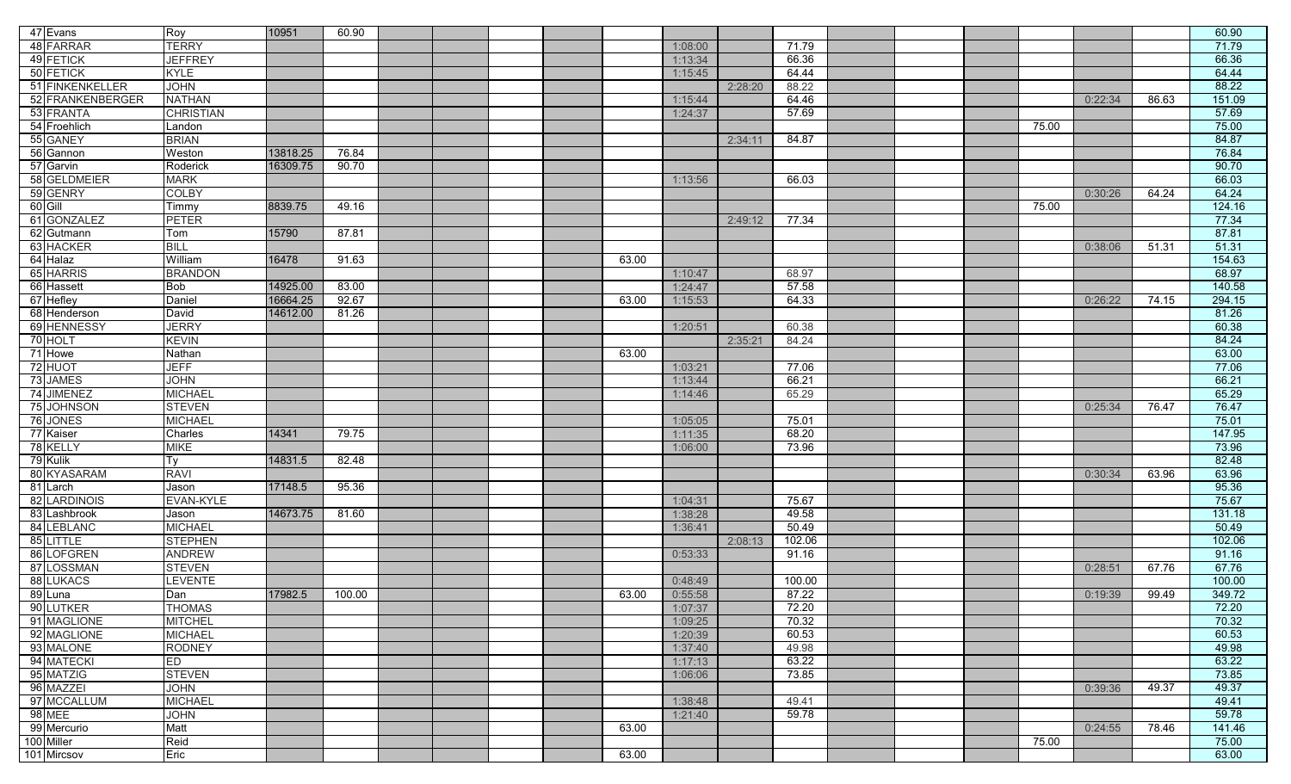| 47 Evans         | Roy              | 10951    | 60.90  |  |       |         |         |        |  |       |         |       | 60.90  |
|------------------|------------------|----------|--------|--|-------|---------|---------|--------|--|-------|---------|-------|--------|
| 48 FARRAR        | <b>TERRY</b>     |          |        |  |       | 1:08:00 |         | 71.79  |  |       |         |       | 71.79  |
| 49 FETICK        | <b>JEFFREY</b>   |          |        |  |       | 1:13:34 |         | 66.36  |  |       |         |       | 66.36  |
| 50 FETICK        | <b>KYLE</b>      |          |        |  |       | 1:15:45 |         | 64.44  |  |       |         |       | 64.44  |
| 51 FINKENKELLER  | <b>JOHN</b>      |          |        |  |       |         | 2:28:20 | 88.22  |  |       |         |       | 88.22  |
| 52 FRANKENBERGER | <b>NATHAN</b>    |          |        |  |       |         |         |        |  |       |         | 86.63 |        |
|                  |                  |          |        |  |       | 1:15:44 |         | 64.46  |  |       | 0:22:34 |       | 151.09 |
| 53 FRANTA        | <b>CHRISTIAN</b> |          |        |  |       | 1:24:37 |         | 57.69  |  |       |         |       | 57.69  |
| 54 Froehlich     | Landon           |          |        |  |       |         |         |        |  | 75.00 |         |       | 75.00  |
| 55 GANEY         | <b>BRIAN</b>     |          |        |  |       |         | 2:34:11 | 84.87  |  |       |         |       | 84.87  |
| 56 Gannon        | Weston           | 13818.25 | 76.84  |  |       |         |         |        |  |       |         |       | 76.84  |
| 57 Garvin        | Roderick         | 16309.75 | 90.70  |  |       |         |         |        |  |       |         |       | 90.70  |
| 58 GELDMEIER     | <b>MARK</b>      |          |        |  |       | 1:13:56 |         | 66.03  |  |       |         |       | 66.03  |
| 59 GENRY         | COLBY            |          |        |  |       |         |         |        |  |       | 0:30:26 | 64.24 | 64.24  |
| $60$ Gill        | Timmy            | 8839.75  | 49.16  |  |       |         |         |        |  | 75.00 |         |       | 124.16 |
| 61 GONZALEZ      | <b>PETER</b>     |          |        |  |       |         | 2:49:12 | 77.34  |  |       |         |       | 77.34  |
| 62 Gutmann       | Tom              | 15790    | 87.81  |  |       |         |         |        |  |       |         |       | 87.81  |
| 63 HACKER        | <b>BILL</b>      |          |        |  |       |         |         |        |  |       | 0:38:06 | 51.31 | 51.31  |
| 64 Halaz         | William          | 16478    | 91.63  |  | 63.00 |         |         |        |  |       |         |       | 154.63 |
| 65 HARRIS        | <b>BRANDON</b>   |          |        |  |       | 1:10:47 |         | 68.97  |  |       |         |       | 68.97  |
| 66 Hassett       | <b>Bob</b>       | 14925.00 | 83.00  |  |       | 1:24:47 |         | 57.58  |  |       |         |       | 140.58 |
| 67 Hefley        | Daniel           | 16664.25 | 92.67  |  | 63.00 | 1:15:53 |         | 64.33  |  |       | 0:26:22 | 74.15 | 294.15 |
| 68 Henderson     | David            | 14612.00 | 81.26  |  |       |         |         |        |  |       |         |       | 81.26  |
| 69 HENNESSY      | <b>JERRY</b>     |          |        |  |       | 1:20:51 |         | 60.38  |  |       |         |       | 60.38  |
| 70 HOLT          | <b>KEVIN</b>     |          |        |  |       |         | 2:35:21 | 84.24  |  |       |         |       | 84.24  |
| 71 Howe          | Nathan           |          |        |  | 63.00 |         |         |        |  |       |         |       | 63.00  |
| 72 HUOT          | JEFF             |          |        |  |       | 1:03:21 |         | 77.06  |  |       |         |       | 77.06  |
| 73 JAMES         | <b>JOHN</b>      |          |        |  |       | 1:13:44 |         | 66.21  |  |       |         |       | 66.21  |
| 74 JIMENEZ       | <b>MICHAEL</b>   |          |        |  |       | 1:14:46 |         | 65.29  |  |       |         |       | 65.29  |
| 75 JOHNSON       | <b>STEVEN</b>    |          |        |  |       |         |         |        |  |       | 0:25:34 | 76.47 | 76.47  |
| 76 JONES         | <b>MICHAEL</b>   |          |        |  |       | 1:05:05 |         | 75.01  |  |       |         |       | 75.01  |
| 77 Kaiser        | Charles          | 14341    | 79.75  |  |       | 1:11:35 |         | 68.20  |  |       |         |       | 147.95 |
| 78 KELLY         | <b>MIKE</b>      |          |        |  |       | 1:06:00 |         | 73.96  |  |       |         |       | 73.96  |
| 79 Kulik         | Tν               | 14831.5  | 82.48  |  |       |         |         |        |  |       |         |       | 82.48  |
| 80 KYASARAM      | <b>RAVI</b>      |          |        |  |       |         |         |        |  |       | 0:30:34 | 63.96 | 63.96  |
| 81 Larch         | Jason            | 17148.5  | 95.36  |  |       |         |         |        |  |       |         |       | 95.36  |
| 82 LARDINOIS     | EVAN-KYLE        |          |        |  |       | 1:04:31 |         | 75.67  |  |       |         |       | 75.67  |
| 83 Lashbrook     | Jason            | 14673.75 | 81.60  |  |       | 1:38:28 |         | 49.58  |  |       |         |       | 131.18 |
| 84 LEBLANC       | <b>MICHAEL</b>   |          |        |  |       | 1:36:41 |         | 50.49  |  |       |         |       | 50.49  |
| 85 LITTLE        | <b>STEPHEN</b>   |          |        |  |       |         | 2:08:13 | 102.06 |  |       |         |       | 102.06 |
| 86 LOFGREN       | <b>ANDREW</b>    |          |        |  |       | 0:53:33 |         | 91.16  |  |       |         |       | 91.16  |
| 87 LOSSMAN       | <b>STEVEN</b>    |          |        |  |       |         |         |        |  |       | 0:28:51 | 67.76 | 67.76  |
| 88 LUKACS        | LEVENTE          |          |        |  |       | 0:48:49 |         | 100.00 |  |       |         |       | 100.00 |
| 89 Luna          | Dan              | 17982.5  | 100.00 |  | 63.00 | 0:55:58 |         | 87.22  |  |       | 0:19:39 | 99.49 | 349.72 |
| 90 LUTKER        | <b>THOMAS</b>    |          |        |  |       | 1:07:37 |         | 72.20  |  |       |         |       | 72.20  |
| 91 MAGLIONE      | <b>MITCHEL</b>   |          |        |  |       | 1:09:25 |         | 70.32  |  |       |         |       | 70.32  |
| 92 MAGLIONE      | <b>MICHAEL</b>   |          |        |  |       | 1:20:39 |         | 60.53  |  |       |         |       | 60.53  |
| 93 MALONE        | <b>RODNEY</b>    |          |        |  |       | 1:37:40 |         | 49.98  |  |       |         |       | 49.98  |
| 94 MATECKI       | ED               |          |        |  |       | 1:17:13 |         | 63.22  |  |       |         |       | 63.22  |
| 95 MATZIG        | <b>STEVEN</b>    |          |        |  |       | 1:06:06 |         | 73.85  |  |       |         |       | 73.85  |
| 96 MAZZEI        | <b>JOHN</b>      |          |        |  |       |         |         |        |  |       | 0:39:36 | 49.37 | 49.37  |
| 97 MCCALLUM      | <b>MICHAEL</b>   |          |        |  |       | 1:38:48 |         | 49.41  |  |       |         |       | 49.41  |
| 98 MEE           | <b>JOHN</b>      |          |        |  |       | 1:21:40 |         | 59.78  |  |       |         |       | 59.78  |
| 99 Mercurio      | Matt             |          |        |  | 63.00 |         |         |        |  |       | 0:24:55 | 78.46 | 141.46 |
| 100 Miller       | Reid             |          |        |  |       |         |         |        |  | 75.00 |         |       | 75.00  |
| 101 Mircsov      | Eric             |          |        |  | 63.00 |         |         |        |  |       |         |       | 63.00  |
|                  |                  |          |        |  |       |         |         |        |  |       |         |       |        |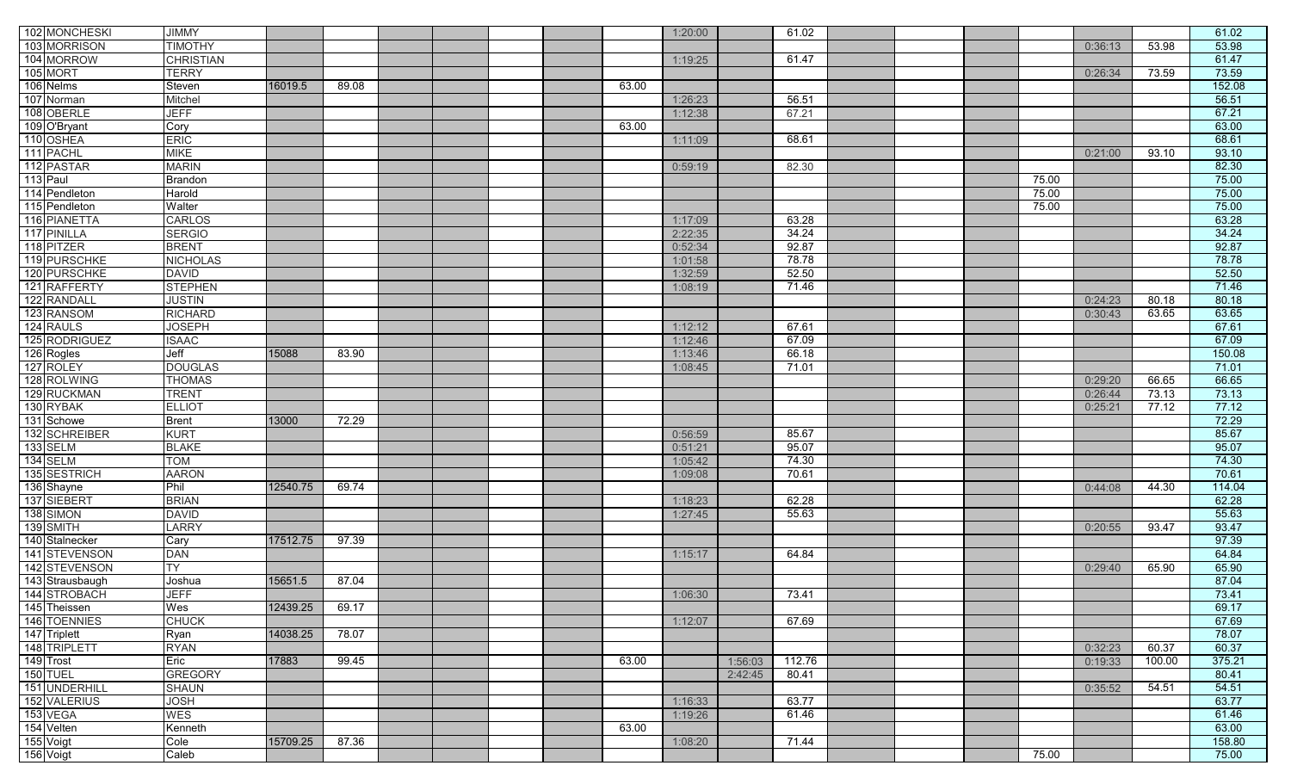| 102 MONCHESKI   | <b>JIMMY</b>     |          |       |  |       | 1:20:00 |         | 61.02  |  |       |         |        | 61.02  |
|-----------------|------------------|----------|-------|--|-------|---------|---------|--------|--|-------|---------|--------|--------|
| 103 MORRISON    | <b>TIMOTHY</b>   |          |       |  |       |         |         |        |  |       |         | 53.98  | 53.98  |
| 104 MORROW      |                  |          |       |  |       |         |         |        |  |       | 0:36:13 |        | 61.47  |
|                 | <b>CHRISTIAN</b> |          |       |  |       | 1:19:25 |         | 61.47  |  |       |         |        |        |
| 105 MORT        | <b>TERRY</b>     |          |       |  |       |         |         |        |  |       | 0:26:34 | 73.59  | 73.59  |
| 106 Nelms       | Steven           | 16019.5  | 89.08 |  | 63.00 |         |         |        |  |       |         |        | 152.08 |
| 107 Norman      | Mitchel          |          |       |  |       | 1:26:23 |         | 56.51  |  |       |         |        | 56.51  |
| 108 OBERLE      | <b>JEFF</b>      |          |       |  |       | 1:12:38 |         | 67.21  |  |       |         |        | 67.21  |
| 109 O'Bryant    | Cory             |          |       |  | 63.00 |         |         |        |  |       |         |        | 63.00  |
| 110 OSHEA       | <b>ERIC</b>      |          |       |  |       | 1:11:09 |         | 68.61  |  |       |         |        | 68.61  |
| 111 PACHL       | <b>MIKE</b>      |          |       |  |       |         |         |        |  |       | 0:21:00 | 93.10  | 93.10  |
| 112 PASTAR      | <b>MARIN</b>     |          |       |  |       | 0:59:19 |         | 82.30  |  |       |         |        | 82.30  |
| 113 Paul        | <b>Brandon</b>   |          |       |  |       |         |         |        |  | 75.00 |         |        | 75.00  |
| 114 Pendleton   | Harold           |          |       |  |       |         |         |        |  | 75.00 |         |        | 75.00  |
| 115 Pendleton   | Walter           |          |       |  |       |         |         |        |  | 75.00 |         |        | 75.00  |
| 116 PIANETTA    | <b>CARLOS</b>    |          |       |  |       | 1:17:09 |         | 63.28  |  |       |         |        | 63.28  |
| 117 PINILLA     | <b>SERGIO</b>    |          |       |  |       | 2:22:35 |         | 34.24  |  |       |         |        | 34.24  |
| 118 PITZER      | <b>BRENT</b>     |          |       |  |       | 0:52:34 |         | 92.87  |  |       |         |        | 92.87  |
| 119 PURSCHKE    | <b>NICHOLAS</b>  |          |       |  |       | 1:01:58 |         | 78.78  |  |       |         |        | 78.78  |
| 120 PURSCHKE    | <b>DAVID</b>     |          |       |  |       | 1:32:59 |         | 52.50  |  |       |         |        | 52.50  |
| 121 RAFFERTY    | <b>STEPHEN</b>   |          |       |  |       | 1:08:19 |         | 71.46  |  |       |         |        | 71.46  |
| 122 RANDALL     | <b>JUSTIN</b>    |          |       |  |       |         |         |        |  |       | 0:24:23 | 80.18  | 80.18  |
| 123 RANSOM      | <b>RICHARD</b>   |          |       |  |       |         |         |        |  |       | 0:30:43 | 63.65  | 63.65  |
| 124 RAULS       | <b>JOSEPH</b>    |          |       |  |       | 1:12:12 |         | 67.61  |  |       |         |        | 67.61  |
| 125 RODRIGUEZ   | <b>ISAAC</b>     |          |       |  |       | 1:12:46 |         | 67.09  |  |       |         |        | 67.09  |
| 126 Rogles      | Jeff             | 15088    | 83.90 |  |       | 1:13:46 |         | 66.18  |  |       |         |        | 150.08 |
| 127 ROLEY       | <b>DOUGLAS</b>   |          |       |  |       | 1:08:45 |         | 71.01  |  |       |         |        | 71.01  |
| 128 ROLWING     | <b>THOMAS</b>    |          |       |  |       |         |         |        |  |       | 0:29:20 | 66.65  | 66.65  |
| 129 RUCKMAN     | <b>TRENT</b>     |          |       |  |       |         |         |        |  |       | 0:26:44 | 73.13  | 73.13  |
| 130 RYBAK       | <b>ELLIOT</b>    |          |       |  |       |         |         |        |  |       | 0:25:21 | 77.12  | 77.12  |
| 131 Schowe      | <b>Brent</b>     | 13000    | 72.29 |  |       |         |         |        |  |       |         |        | 72.29  |
| 132 SCHREIBER   | <b>KURT</b>      |          |       |  |       | 0:56:59 |         | 85.67  |  |       |         |        | 85.67  |
| 133 SELM        | <b>BLAKE</b>     |          |       |  |       | 0:51:21 |         | 95.07  |  |       |         |        | 95.07  |
| 134 SELM        | <b>TOM</b>       |          |       |  |       | 1:05:42 |         | 74.30  |  |       |         |        | 74.30  |
| 135 SESTRICH    | <b>AARON</b>     |          |       |  |       | 1:09:08 |         | 70.61  |  |       |         |        | 70.61  |
| 136 Shayne      | Phil             | 12540.75 | 69.74 |  |       |         |         |        |  |       | 0:44:08 | 44.30  | 114.04 |
| 137 SIEBERT     | <b>BRIAN</b>     |          |       |  |       | 1:18:23 |         | 62.28  |  |       |         |        | 62.28  |
| 138 SIMON       | <b>DAVID</b>     |          |       |  |       | 1:27:45 |         | 55.63  |  |       |         |        | 55.63  |
| 139 SMITH       | <b>LARRY</b>     |          |       |  |       |         |         |        |  |       | 0:20:55 | 93.47  | 93.47  |
| 140 Stalnecker  | Cary             | 17512.75 | 97.39 |  |       |         |         |        |  |       |         |        | 97.39  |
| 141 STEVENSON   | <b>DAN</b>       |          |       |  |       | 1:15:17 |         | 64.84  |  |       |         |        | 64.84  |
| 142 STEVENSON   | <b>TY</b>        |          |       |  |       |         |         |        |  |       | 0:29:40 | 65.90  | 65.90  |
| 143 Strausbaugh | Joshua           | 15651.5  | 87.04 |  |       |         |         |        |  |       |         |        | 87.04  |
| 144 STROBACH    | <b>JEFF</b>      |          |       |  |       | 1:06:30 |         | 73.41  |  |       |         |        | 73.41  |
| 145 Theissen    | Wes              | 12439.25 | 69.17 |  |       |         |         |        |  |       |         |        | 69.17  |
| 146 TOENNIES    | <b>CHUCK</b>     |          |       |  |       | 1:12:07 |         | 67.69  |  |       |         |        | 67.69  |
| 147 Triplett    | Ryan             | 14038.25 | 78.07 |  |       |         |         |        |  |       |         |        | 78.07  |
| 148 TRIPLETT    | <b>RYAN</b>      |          |       |  |       |         |         |        |  |       | 0:32:23 | 60.37  | 60.37  |
| 149 Trost       | Eric             | 17883    | 99.45 |  | 63.00 |         | 1:56:03 | 112.76 |  |       | 0:19:33 | 100.00 | 375.21 |
| 150 TUEL        | <b>GREGORY</b>   |          |       |  |       |         | 2:42:45 | 80.41  |  |       |         |        | 80.41  |
| 151 UNDERHILL   | <b>SHAUN</b>     |          |       |  |       |         |         |        |  |       | 0:35:52 | 54.51  | 54.51  |
| 152 VALERIUS    | <b>JOSH</b>      |          |       |  |       | 1:16:33 |         | 63.77  |  |       |         |        | 63.77  |
| 153 VEGA        | <b>WES</b>       |          |       |  |       | 1:19:26 |         | 61.46  |  |       |         |        | 61.46  |
| 154 Velten      | Kenneth          |          |       |  | 63.00 |         |         |        |  |       |         |        | 63.00  |
| 155 Voigt       | Cole             | 15709.25 | 87.36 |  |       | 1:08:20 |         | 71.44  |  |       |         |        | 158.80 |
| 156 Voigt       | Caleb            |          |       |  |       |         |         |        |  | 75.00 |         |        | 75.00  |